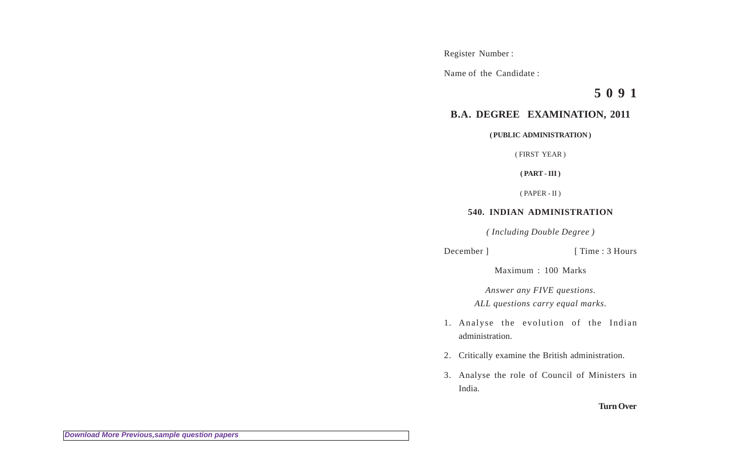Register Number :

Name of the Candidate :

**5 0 9 1**

## **B.A. DEGREE EXAMINATION, 2011**

**( PUBLIC ADMINISTRATION )**

( FIRST YEAR )

**( PART - III )**

( PAPER - II )

## **540. INDIAN ADMINISTRATION**

*( Including Double Degree )*

December ] [ Time : 3 Hours

Maximum : 100 Marks

*Answer any FIVE questions. ALL questions carry equal marks.*

- 1. Analyse the evolution of the Indian administration.
- 2. Critically examine the British administration.
- 3. Analyse the role of Council of Ministers in India.

## **Turn Over**